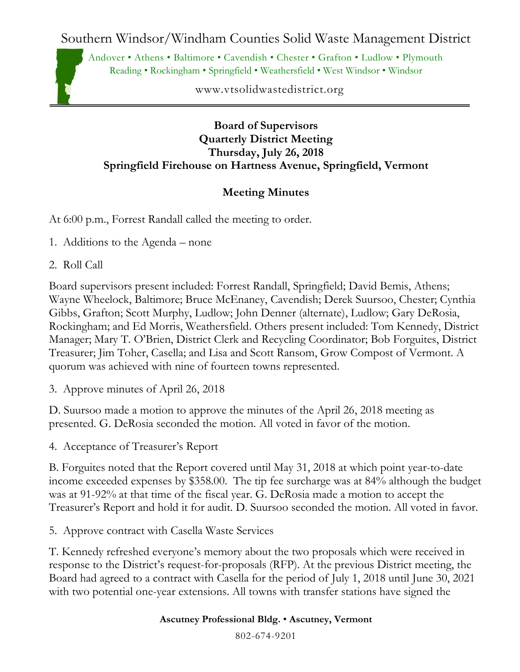Southern Windsor/Windham Counties Solid Waste Management District

Andover • Athens • Baltimore • Cavendish • Chester • Grafton • Ludlow • Plymouth Reading • Rockingham • Springfield • Weathersfield • West Windsor • Windsor

www.vtsolidwastedistrict.org

## **Board of Supervisors Quarterly District Meeting Thursday, July 26, 2018 Springfield Firehouse on Hartness Avenue, Springfield, Vermont**

## **Meeting Minutes**

At 6:00 p.m., Forrest Randall called the meeting to order.

- 1. Additions to the Agenda none
- 2. Roll Call

Board supervisors present included: Forrest Randall, Springfield; David Bemis, Athens; Wayne Wheelock, Baltimore; Bruce McEnaney, Cavendish; Derek Suursoo, Chester; Cynthia Gibbs, Grafton; Scott Murphy, Ludlow; John Denner (alternate), Ludlow; Gary DeRosia, Rockingham; and Ed Morris, Weathersfield. Others present included: Tom Kennedy, District Manager; Mary T. O'Brien, District Clerk and Recycling Coordinator; Bob Forguites, District Treasurer; Jim Toher, Casella; and Lisa and Scott Ransom, Grow Compost of Vermont. A quorum was achieved with nine of fourteen towns represented.

3. Approve minutes of April 26, 2018

D. Suursoo made a motion to approve the minutes of the April 26, 2018 meeting as presented. G. DeRosia seconded the motion. All voted in favor of the motion.

4. Acceptance of Treasurer's Report

B. Forguites noted that the Report covered until May 31, 2018 at which point year-to-date income exceeded expenses by \$358.00. The tip fee surcharge was at 84% although the budget was at 91-92% at that time of the fiscal year. G. DeRosia made a motion to accept the Treasurer's Report and hold it for audit. D. Suursoo seconded the motion. All voted in favor.

5. Approve contract with Casella Waste Services

T. Kennedy refreshed everyone's memory about the two proposals which were received in response to the District's request-for-proposals (RFP). At the previous District meeting, the Board had agreed to a contract with Casella for the period of July 1, 2018 until June 30, 2021 with two potential one-year extensions. All towns with transfer stations have signed the

**Ascutney Professional Bldg.** • **Ascutney, Vermont**

802-674-9201